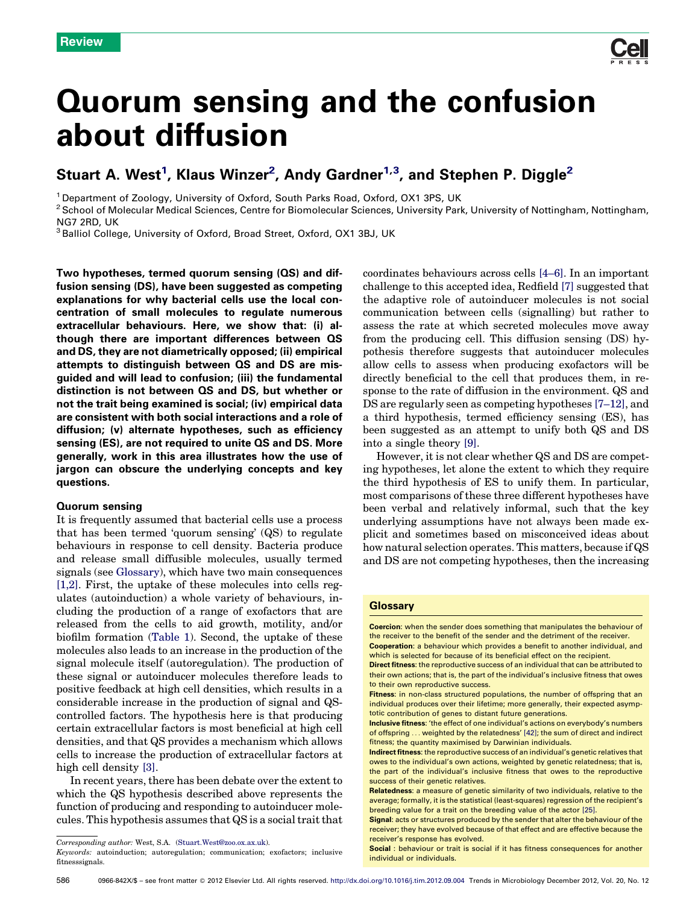# Quorum sensing and the confusion about diffusion

Stuart A. West<sup>1</sup>, Klaus Winzer<sup>2</sup>, Andy Gardner<sup>1,3</sup>, and Stephen P. Diggle<sup>2</sup>

<sup>1</sup> Department of Zoology, University of Oxford, South Parks Road, Oxford, OX1 3PS, UK<br><sup>2</sup> School of Molecular Medical Sciences, Centre for Biomolecular Sciences, University Park, University of Nottingham, Nottingham, NG7 2RD, UK<br><sup>3</sup> Balliol College, University of Oxford, Broad Street, Oxford, OX1 3BJ, UK

Two hypotheses, termed quorum sensing (QS) and diffusion sensing (DS), have been suggested as competing explanations for why bacterial cells use the local concentration of small molecules to regulate numerous extracellular behaviours. Here, we show that: (i) although there are important differences between QS and DS, they are not diametrically opposed; (ii) empirical attempts to distinguish between QS and DS are misguided and will lead to confusion; (iii) the fundamental distinction is not between QS and DS, but whether or not the trait being examined is social; (iv) empirical data are consistent with both social interactions and a role of diffusion; (v) alternate hypotheses, such as efficiency sensing (ES), are not required to unite QS and DS. More generally, work in this area illustrates how the use of jargon can obscure the underlying concepts and key questions.

# Quorum sensing

It is frequently assumed that bacterial cells use a process that has been termed 'quorum sensing' (QS) to regulate behaviours in response to cell density. Bacteria produce and release small diffusible molecules, usually termed signals (see Glossary), which have two main consequences [\[1,2\].](#page-7-0) First, the uptake of these molecules into cells regulates (autoinduction) a whole variety of behaviours, including the production of a range of exofactors that are released from the cells to aid growth, motility, and/or biofilm formation [\(Table](#page-1-0) 1). Second, the uptake of these molecules also leads to an increase in the production of the signal molecule itself (autoregulation). The production of these signal or autoinducer molecules therefore leads to positive feedback at high cell densities, which results in a considerable increase in the production of signal and QScontrolled factors. The hypothesis here is that producing certain extracellular factors is most beneficial at high cell densities, and that QS provides a mechanism which allows cells to increase the production of extracellular factors at high cell density [\[3\]](#page-7-0).

In recent years, there has been debate over the extent to which the QS hypothesis described above represents the function of producing and responding to autoinducer molecules. This hypothesis assumes that  $QS$  is a social trait that coordinates behaviours across cells [\[4–6\].](#page-7-0) In an important challenge to this accepted idea, Redfield [\[7\]](#page-7-0) suggested that the adaptive role of autoinducer molecules is not social communication between cells (signalling) but rather to assess the rate at which secreted molecules move away from the producing cell. This diffusion sensing (DS) hypothesis therefore suggests that autoinducer molecules allow cells to assess when producing exofactors will be directly beneficial to the cell that produces them, in response to the rate of diffusion in the environment. QS and DS are regularly seen as competing hypotheses [\[7–12\],](#page-7-0) and a third hypothesis, termed efficiency sensing (ES), has been suggested as an attempt to unify both QS and DS into a single theory [\[9\].](#page-7-0)

However, it is not clear whether QS and DS are competing hypotheses, let alone the extent to which they require the third hypothesis of ES to unify them. In particular, most comparisons of these three different hypotheses have been verbal and relatively informal, such that the key underlying assumptions have not always been made explicit and sometimes based on misconceived ideas about how natural selection operates. This matters, because if QS and DS are not competing hypotheses, then the increasing

# **Glossarv**

Coercion: when the sender does something that manipulates the behaviour of the receiver to the benefit of the sender and the detriment of the receiver.

Cooperation: a behaviour which provides a benefit to another individual, and which is selected for because of its beneficial effect on the recipient.

Social : behaviour or trait is social if it has fitness consequences for another individual or individuals.



Corresponding author: West, S.A. [\(Stuart.West@zoo.ox.ax.uk](mailto:Stuart.West@zoo.ox.ax.uk)).

Keywords: autoinduction; autoregulation; communication; exofactors; inclusive fitnesssignals.

Direct fitness: the reproductive success of an individual that can be attributed to their own actions; that is, the part of the individual's inclusive fitness that owes to their own reproductive success.

Fitness: in non-class structured populations, the number of offspring that an individual produces over their lifetime; more generally, their expected asymptotic contribution of genes to distant future generations.

Inclusive fitness: 'the effect of one individual's actions on everybody's numbers of offspring . . . weighted by the relatedness' [\[42\]](#page-8-0); the sum of direct and indirect fitness; the quantity maximised by Darwinian individuals.

Indirect fitness: the reproductive success of an individual's genetic relatives that owes to the individual's own actions, weighted by genetic relatedness; that is, the part of the individual's inclusive fitness that owes to the reproductive success of their genetic relatives.

Relatedness: a measure of genetic similarity of two individuals, relative to the average; formally, it is the statistical (least-squares) regression of the recipient's breeding value for a trait on the breeding value of the actor [\[25\]](#page-7-0).

Signal: acts or structures produced by the sender that alter the behaviour of the receiver; they have evolved because of that effect and are effective because the receiver's response has evolved.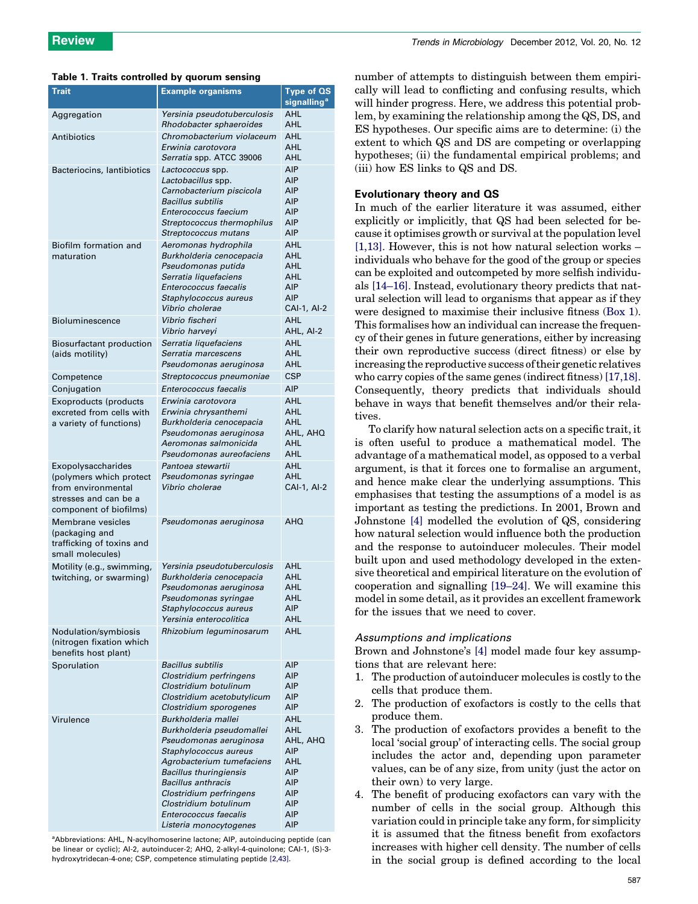# <span id="page-1-0"></span>Table 1. Traits controlled by quorum sensing

| <b>Trait</b>                                     | <b>Example organisms</b>                                   | <b>Type of QS</b><br>signalling <sup>a</sup> |
|--------------------------------------------------|------------------------------------------------------------|----------------------------------------------|
| Aggregation                                      | Yersinia pseudotuberculosis                                | <b>AHL</b>                                   |
|                                                  | Rhodobacter sphaeroides                                    | <b>AHL</b>                                   |
| Antibiotics                                      | Chromobacterium violaceum<br>Erwinia carotovora            | <b>AHL</b><br><b>AHL</b>                     |
|                                                  | Serratia spp. ATCC 39006                                   | <b>AHL</b>                                   |
| Bacteriocins, lantibiotics                       | Lactococcus spp.                                           | AIP                                          |
|                                                  | Lactobacillus spp.                                         | AIP                                          |
|                                                  | Carnobacterium piscicola                                   | AIP                                          |
|                                                  | <b>Bacillus subtilis</b><br>Enterococcus faecium           | AIP<br>AIP                                   |
|                                                  | Streptococcus thermophilus                                 | AIP                                          |
|                                                  | Streptococcus mutans                                       | AIP                                          |
| Biofilm formation and                            | Aeromonas hydrophila                                       | <b>AHL</b>                                   |
| maturation                                       | Burkholderia cenocepacia                                   | <b>AHL</b>                                   |
|                                                  | Pseudomonas putida<br>Serratia liquefaciens                | <b>AHL</b><br><b>AHL</b>                     |
|                                                  | Enterococcus faecalis                                      | AIP                                          |
|                                                  | Staphylococcus aureus                                      | AIP                                          |
|                                                  | Vibrio cholerae                                            | CAI-1, AI-2                                  |
| <b>Bioluminescence</b>                           | Vibrio fischeri<br>Vibrio harveyi                          | <b>AHL</b><br>AHL, AI-2                      |
| <b>Biosurfactant production</b>                  | Serratia liquefaciens                                      | AHL                                          |
| (aids motility)                                  | Serratia marcescens                                        | <b>AHL</b>                                   |
|                                                  | Pseudomonas aeruginosa                                     | AHL                                          |
| Competence                                       | Streptococcus pneumoniae<br>Enterococcus faecalis          | <b>CSP</b><br>AIP                            |
| Conjugation<br><b>Exoproducts (products</b>      | Erwinia carotovora                                         | <b>AHL</b>                                   |
| excreted from cells with                         | Erwinia chrysanthemi                                       | AHL                                          |
| a variety of functions)                          | Burkholderia cenocepacia                                   | <b>AHL</b>                                   |
|                                                  | Pseudomonas aeruginosa                                     | AHL, AHQ                                     |
|                                                  | Aeromonas salmonicida<br>Pseudomonas aureofaciens          | <b>AHL</b><br><b>AHL</b>                     |
| Exopolysaccharides                               | Pantoea stewartii                                          | <b>AHL</b>                                   |
| (polymers which protect                          | Pseudomonas syringae                                       | <b>AHL</b>                                   |
| from environmental                               | Vibrio cholerae                                            | CAI-1, AI-2                                  |
| stresses and can be a                            |                                                            |                                              |
| component of biofilms)                           |                                                            |                                              |
| Membrane vesicles<br>(packaging and              | Pseudomonas aeruginosa                                     | <b>AHQ</b>                                   |
| trafficking of toxins and                        |                                                            |                                              |
| small molecules)                                 |                                                            |                                              |
| Motility (e.g., swimming,                        | Yersinia pseudotuberculosis                                | <b>AHL</b>                                   |
| twitching, or swarming)                          | Burkholderia cenocepacia                                   | <b>AHL</b><br><b>AHL</b>                     |
|                                                  | Pseudomonas aeruginosa<br>Pseudomonas syringae             | AHL                                          |
|                                                  | Staphylococcus aureus                                      | AIP                                          |
|                                                  | Yersinia enterocolitica                                    | <b>AHL</b>                                   |
| Nodulation/symbiosis                             | Rhizobium leguminosarum                                    | <b>AHL</b>                                   |
| (nitrogen fixation which<br>benefits host plant) |                                                            |                                              |
| Sporulation                                      | <b>Bacillus subtilis</b>                                   | AIP                                          |
|                                                  | Clostridium perfringens                                    | AIP                                          |
|                                                  | Clostridium botulinum                                      | AIP                                          |
|                                                  | Clostridium acetobutylicum                                 | AIP                                          |
|                                                  | Clostridium sporogenes                                     | AIP                                          |
| Virulence                                        | Burkholderia mallei<br>Burkholderia pseudomallei           | AHL<br><b>AHL</b>                            |
|                                                  | Pseudomonas aeruginosa                                     | AHL, AHQ                                     |
|                                                  | Staphylococcus aureus                                      | AIP                                          |
|                                                  | Agrobacterium tumefaciens                                  | <b>AHL</b>                                   |
|                                                  | <b>Bacillus thuringiensis</b><br><b>Bacillus anthracis</b> | AIP<br>AIP                                   |
|                                                  | Clostridium perfringens                                    | AIP                                          |
|                                                  | Clostridium botulinum                                      | AIP                                          |
|                                                  | Enterococcus faecalis                                      | AIP                                          |
|                                                  | Listeria monocytogenes                                     | AIP                                          |

<sup>a</sup>Abbreviations: AHL, N-acylhomoserine lactone; AIP, autoinducing peptide (can be linear or cyclic); AI-2, autoinducer-2; AHQ, 2-alkyl-4-quinolone; CAI-1, (S)-3 hydroxytridecan-4-one; CSP, competence stimulating peptide [\[2,43\].](#page-7-0)

number of attempts to distinguish between them empirically will lead to conflicting and confusing results, which will hinder progress. Here, we address this potential problem, by examining the relationship among the QS, DS, and ES hypotheses. Our specific aims are to determine: (i) the extent to which QS and DS are competing or overlapping hypotheses; (ii) the fundamental empirical problems; and (iii) how ES links to QS and DS.

# Evolutionary theory and QS

In much of the earlier literature it was assumed, either explicitly or implicitly, that QS had been selected for because it optimises growth or survival atthe population level [\[1,13\].](#page-7-0) However, this is not how natural selection works – individuals who behave for the good of the group or species can be exploited and outcompeted by more selfish individuals [\[14–16\]](#page-7-0). Instead, evolutionary theory predicts that natural selection will lead to organisms that appear as if they were designed to maximise their inclusive fitness [\(Box](#page-2-0) 1). This formalises how an individual can increase the frequency of their genes in future generations, either by increasing their own reproductive success (direct fitness) or else by increasing the reproductive success oftheir genetic relatives who carry copies of the same genes (indirect fitness) [\[17,18\]](#page-7-0). Consequently, theory predicts that individuals should behave in ways that benefit themselves and/or their relatives.

To clarify how natural selection acts on a specific trait, it is often useful to produce a mathematical model. The advantage of a mathematical model, as opposed to a verbal argument, is that it forces one to formalise an argument, and hence make clear the underlying assumptions. This emphasises that testing the assumptions of a model is as important as testing the predictions. In 2001, Brown and Johnstone [\[4\]](#page-7-0) modelled the evolution of QS, considering how natural selection would influence both the production and the response to autoinducer molecules. Their model built upon and used methodology developed in the extensive theoretical and empirical literature on the evolution of cooperation and signalling [\[19–24\]](#page-7-0). We will examine this model in some detail, as it provides an excellent framework for the issues that we need to cover.

# Assumptions and implications

Brown and Johnstone's [\[4\]](#page-7-0) model made four key assumptions that are relevant here:

- 1. The production of autoinducer molecules is costly to the cells that produce them.
- 2. The production of exofactors is costly to the cells that produce them.
- 3. The production of exofactors provides a benefit to the local 'social group' of interacting cells. The social group includes the actor and, depending upon parameter values, can be of any size, from unity (just the actor on their own) to very large.
- 4. The benefit of producing exofactors can vary with the number of cells in the social group. Although this variation could in principle take any form, for simplicity it is assumed that the fitness benefit from exofactors increases with higher cell density. The number of cells in the social group is defined according to the local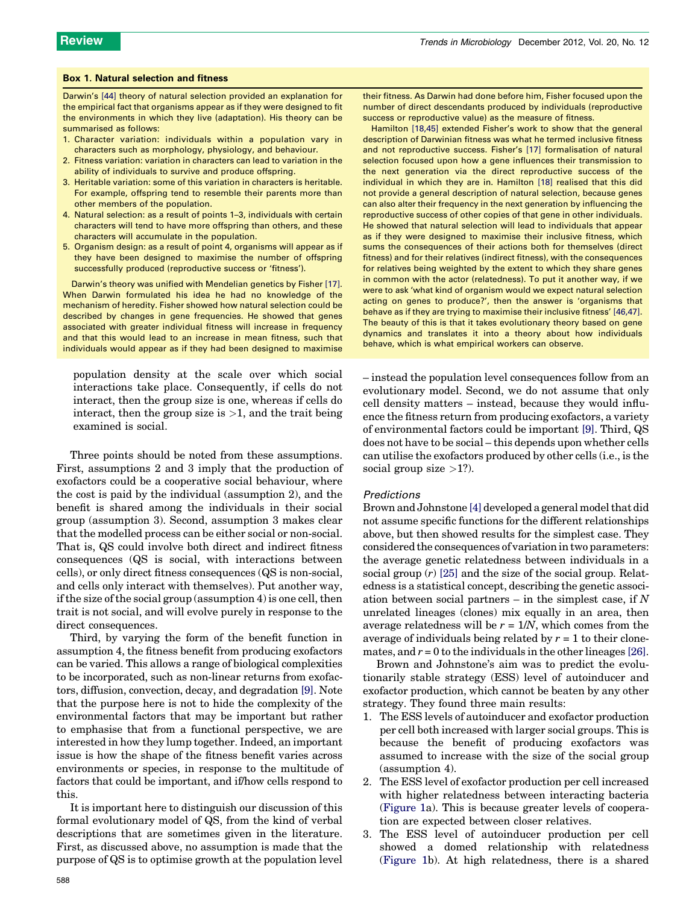# <span id="page-2-0"></span>Box 1. Natural selection and fitness

Darwin's [\[44\]](#page-8-0) theory of natural selection provided an explanation for the empirical fact that organisms appear as if they were designed to fit the environments in which they live (adaptation). His theory can be summarised as follows:

- 1. Character variation: individuals within a population vary in characters such as morphology, physiology, and behaviour.
- 2. Fitness variation: variation in characters can lead to variation in the ability of individuals to survive and produce offspring.
- 3. Heritable variation: some of this variation in characters is heritable. For example, offspring tend to resemble their parents more than other members of the population.
- 4. Natural selection: as a result of points 1–3, individuals with certain characters will tend to have more offspring than others, and these characters will accumulate in the population.
- 5. Organism design: as a result of point 4, organisms will appear as if they have been designed to maximise the number of offspring successfully produced (reproductive success or 'fitness').

Darwin's theory was unified with Mendelian genetics by Fisher [\[17\].](#page-7-0) When Darwin formulated his idea he had no knowledge of the mechanism of heredity. Fisher showed how natural selection could be described by changes in gene frequencies. He showed that genes associated with greater individual fitness will increase in frequency and that this would lead to an increase in mean fitness, such that individuals would appear as if they had been designed to maximise

population density at the scale over which social interactions take place. Consequently, if cells do not interact, then the group size is one, whereas if cells do interact, then the group size is  $>1$ , and the trait being examined is social.

Three points should be noted from these assumptions. First, assumptions 2 and 3 imply that the production of exofactors could be a cooperative social behaviour, where the cost is paid by the individual (assumption 2), and the benefit is shared among the individuals in their social group (assumption 3). Second, assumption 3 makes clear that the modelled process can be either social or non-social. That is, QS could involve both direct and indirect fitness consequences (QS is social, with interactions between cells), or only direct fitness consequences (QS is non-social, and cells only interact with themselves). Put another way, if the size of the social group (assumption 4) is one cell, then trait is not social, and will evolve purely in response to the direct consequences.

Third, by varying the form of the benefit function in assumption 4, the fitness benefit from producing exofactors can be varied. This allows a range of biological complexities to be incorporated, such as non-linear returns from exofactors, diffusion, convection, decay, and degradation [\[9\]](#page-7-0). Note that the purpose here is not to hide the complexity of the environmental factors that may be important but rather to emphasise that from a functional perspective, we are interested in how they lump together. Indeed, an important issue is how the shape of the fitness benefit varies across environments or species, in response to the multitude of factors that could be important, and if/how cells respond to this.

It is important here to distinguish our discussion of this formal evolutionary model of QS, from the kind of verbal descriptions that are sometimes given in the literature. First, as discussed above, no assumption is made that the purpose of QS is to optimise growth at the population level their fitness. As Darwin had done before him, Fisher focused upon the number of direct descendants produced by individuals (reproductive success or reproductive value) as the measure of fitness.

Hamilton [\[18,45\]](#page-7-0) extended Fisher's work to show that the general description of Darwinian fitness was what he termed inclusive fitness and not reproductive success. Fisher's [\[17\]](#page-7-0) formalisation of natural selection focused upon how a gene influences their transmission to the next generation via the direct reproductive success of the individual in which they are in. Hamilton [\[18\]](#page-7-0) realised that this did not provide a general description of natural selection, because genes can also alter their frequency in the next generation by influencing the reproductive success of other copies of that gene in other individuals. He showed that natural selection will lead to individuals that appear as if they were designed to maximise their inclusive fitness, which sums the consequences of their actions both for themselves (direct fitness) and for their relatives (indirect fitness), with the consequences for relatives being weighted by the extent to which they share genes in common with the actor (relatedness). To put it another way, if we were to ask 'what kind of organism would we expect natural selection acting on genes to produce?', then the answer is 'organisms that behave as if they are trying to maximise their inclusive fitness' [\[46,47\].](#page-8-0) The beauty of this is that it takes evolutionary theory based on gene dynamics and translates it into a theory about how individuals behave, which is what empirical workers can observe.

– instead the population level consequences follow from an evolutionary model. Second, we do not assume that only cell density matters – instead, because they would influence the fitness return from producing exofactors, a variety of environmental factors could be important [\[9\].](#page-7-0) Third, QS does not have to be social – this depends upon whether cells can utilise the exofactors produced by other cells (i.e., is the social group size  $>1$ ?).

# Predictions

Brown and Johnstone [\[4\]](#page-7-0) developed a general model that did not assume specific functions for the different relationships above, but then showed results for the simplest case. They considered the consequences of variation in two parameters: the average genetic relatedness between individuals in a social group  $(r)$  [\[25\]](#page-7-0) and the size of the social group. Relatedness is a statistical concept, describing the genetic association between social partners – in the simplest case, if  $N$ unrelated lineages (clones) mix equally in an area, then average relatedness will be  $r = 1/N$ , which comes from the average of individuals being related by  $r = 1$  to their clonemates, and  $r = 0$  to the individuals in the other lineages [\[26\]](#page-7-0).

Brown and Johnstone's aim was to predict the evolutionarily stable strategy (ESS) level of autoinducer and exofactor production, which cannot be beaten by any other strategy. They found three main results:

- 1. The ESS levels of autoinducer and exofactor production per cell both increased with larger social groups. This is because the benefit of producing exofactors was assumed to increase with the size of the social group (assumption 4).
- 2. The ESS level of exofactor production per cell increased with higher relatedness between interacting bacteria [\(Figure](#page-3-0) 1a). This is because greater levels of cooperation are expected between closer relatives.
- 3. The ESS level of autoinducer production per cell showed a domed relationship with relatedness [\(Figure](#page-3-0) 1b). At high relatedness, there is a shared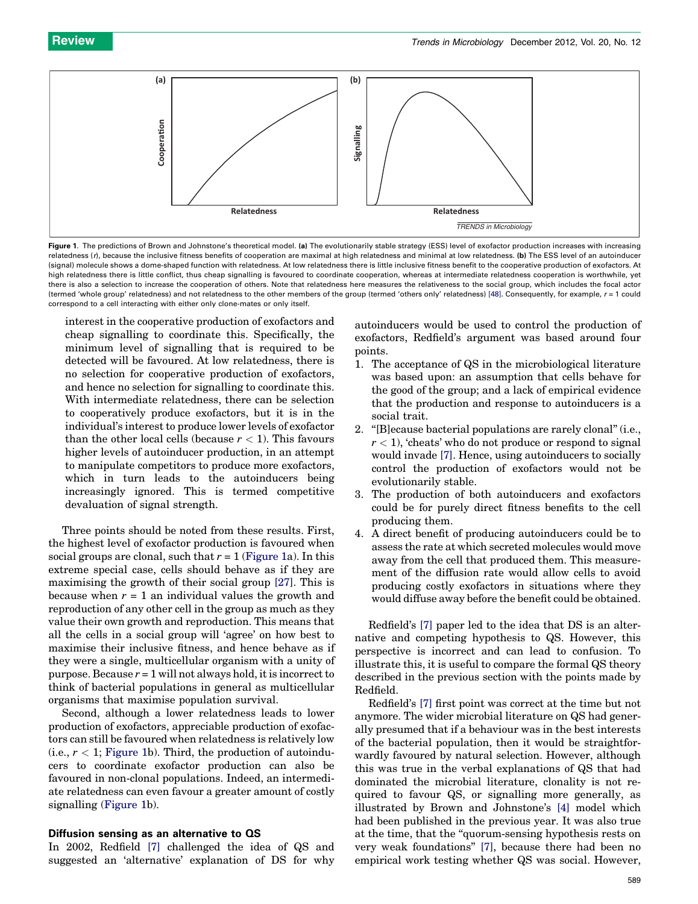<span id="page-3-0"></span>

Figure 1. The predictions of Brown and Johnstone's theoretical model. (a) The evolutionarily stable strategy (ESS) level of exofactor production increases with increasing relatedness (r), because the inclusive fitness benefits of cooperation are maximal at high relatedness and minimal at low relatedness. (b) The ESS level of an autoinducer (signal) molecule shows a dome-shaped function with relatedness. At low relatedness there is little inclusive fitness benefit to the cooperative production of exofactors. At high relatedness there is little conflict, thus cheap signalling is favoured to coordinate cooperation, whereas at intermediate relatedness cooperation is worthwhile, yet there is also a selection to increase the cooperation of others. Note that relatedness here measures the relativeness to the social group, which includes the focal actor (termed 'whole group' relatedness) and not relatedness to the other members of the group (termed 'others only' relatedness) [\[48\]](#page-8-0). Consequently, for example,  $r = 1$  could correspond to a cell interacting with either only clone-mates or only itself.

interest in the cooperative production of exofactors and cheap signalling to coordinate this. Specifically, the minimum level of signalling that is required to be detected will be favoured. At low relatedness, there is no selection for cooperative production of exofactors, and hence no selection for signalling to coordinate this. With intermediate relatedness, there can be selection to cooperatively produce exofactors, but it is in the individual's interest to produce lower levels of exofactor than the other local cells (because  $r < 1$ ). This favours higher levels of autoinducer production, in an attempt to manipulate competitors to produce more exofactors, which in turn leads to the autoinducers being increasingly ignored. This is termed competitive devaluation of signal strength.

Three points should be noted from these results. First, the highest level of exofactor production is favoured when social groups are clonal, such that  $r = 1$  (Figure 1a). In this extreme special case, cells should behave as if they are maximising the growth of their social group [\[27\]](#page-7-0). This is because when  $r = 1$  an individual values the growth and reproduction of any other cell in the group as much as they value their own growth and reproduction. This means that all the cells in a social group will 'agree' on how best to maximise their inclusive fitness, and hence behave as if they were a single, multicellular organism with a unity of purpose. Because  $r = 1$  will not always hold, it is incorrect to think of bacterial populations in general as multicellular organisms that maximise population survival.

Second, although a lower relatedness leads to lower production of exofactors, appreciable production of exofactors can still be favoured when relatedness is relatively low (i.e.,  $r < 1$ ; Figure 1b). Third, the production of autoinducers to coordinate exofactor production can also be favoured in non-clonal populations. Indeed, an intermediate relatedness can even favour a greater amount of costly signalling (Figure 1b).

### Diffusion sensing as an alternative to QS

In 2002, Redfield [\[7\]](#page-7-0) challenged the idea of QS and suggested an 'alternative' explanation of DS for why autoinducers would be used to control the production of exofactors, Redfield's argument was based around four points.

- 1. The acceptance of QS in the microbiological literature was based upon: an assumption that cells behave for the good of the group; and a lack of empirical evidence that the production and response to autoinducers is a social trait.
- 2. ''[B]ecause bacterial populations are rarely clonal'' (i.e.,  $r < 1$ , 'cheats' who do not produce or respond to signal would invade [\[7\].](#page-7-0) Hence, using autoinducers to socially control the production of exofactors would not be evolutionarily stable.
- 3. The production of both autoinducers and exofactors could be for purely direct fitness benefits to the cell producing them.
- 4. A direct benefit of producing autoinducers could be to assess the rate at which secreted molecules would move away from the cell that produced them. This measurement of the diffusion rate would allow cells to avoid producing costly exofactors in situations where they would diffuse away before the benefit could be obtained.

Redfield's [\[7\]](#page-7-0) paper led to the idea that DS is an alternative and competing hypothesis to QS. However, this perspective is incorrect and can lead to confusion. To illustrate this, it is useful to compare the formal QS theory described in the previous section with the points made by Redfield.

Redfield's [\[7\]](#page-7-0) first point was correct at the time but not anymore. The wider microbial literature on QS had generally presumed that if a behaviour was in the best interests of the bacterial population, then it would be straightforwardly favoured by natural selection. However, although this was true in the verbal explanations of QS that had dominated the microbial literature, clonality is not required to favour QS, or signalling more generally, as illustrated by Brown and Johnstone's [\[4\]](#page-7-0) model which had been published in the previous year. It was also true at the time, that the "quorum-sensing hypothesis rests on very weak foundations'' [\[7\]](#page-7-0), because there had been no empirical work testing whether QS was social. However,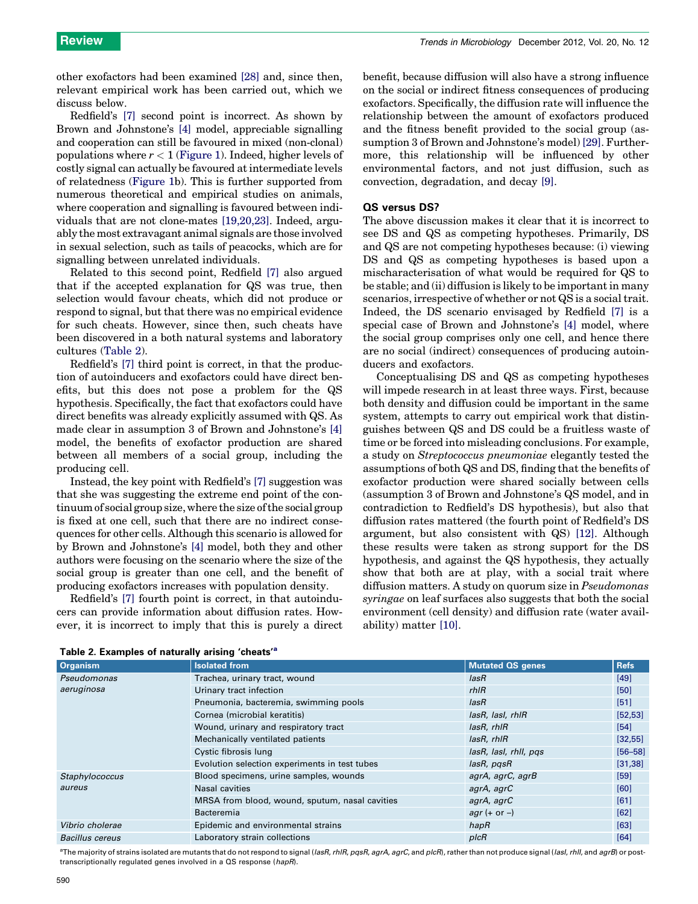<span id="page-4-0"></span>other exofactors had been examined [\[28\]](#page-7-0) and, since then, relevant empirical work has been carried out, which we discuss below.

Redfield's [\[7\]](#page-7-0) second point is incorrect. As shown by Brown and Johnstone's [\[4\]](#page-7-0) model, appreciable signalling and cooperation can still be favoured in mixed (non-clonal) populations where  $r < 1$  ([Figure](#page-3-0) 1). Indeed, higher levels of costly signal can actually be favoured atintermediate levels of relatedness [\(Figure](#page-3-0) 1b). This is further supported from numerous theoretical and empirical studies on animals, where cooperation and signalling is favoured between individuals that are not clone-mates [\[19,20,23\]](#page-7-0). Indeed, arguably the most extravagant animal signals are those involved in sexual selection, such as tails of peacocks, which are for signalling between unrelated individuals.

Related to this second point, Redfield [\[7\]](#page-7-0) also argued that if the accepted explanation for QS was true, then selection would favour cheats, which did not produce or respond to signal, but that there was no empirical evidence for such cheats. However, since then, such cheats have been discovered in a both natural systems and laboratory cultures (Table 2).

Redfield's [\[7\]](#page-7-0) third point is correct, in that the production of autoinducers and exofactors could have direct benefits, but this does not pose a problem for the QS hypothesis. Specifically, the fact that exofactors could have direct benefits was already explicitly assumed with QS. As made clear in assumption 3 of Brown and Johnstone's [\[4\]](#page-7-0) model, the benefits of exofactor production are shared between all members of a social group, including the producing cell.

Instead, the key point with Redfield's [\[7\]](#page-7-0) suggestion was that she was suggesting the extreme end point of the continuum of social group size,where the size ofthe social group is fixed at one cell, such that there are no indirect consequences for other cells. Although this scenario is allowed for by Brown and Johnstone's [\[4\]](#page-7-0) model, both they and other authors were focusing on the scenario where the size of the social group is greater than one cell, and the benefit of producing exofactors increases with population density.

Redfield's [\[7\]](#page-7-0) fourth point is correct, in that autoinducers can provide information about diffusion rates. However, it is incorrect to imply that this is purely a direct benefit, because diffusion will also have a strong influence on the social or indirect fitness consequences of producing exofactors. Specifically, the diffusion rate will influence the relationship between the amount of exofactors produced and the fitness benefit provided to the social group (assumption 3 of Brown and Johnstone's model) [\[29\].](#page-7-0) Furthermore, this relationship will be influenced by other environmental factors, and not just diffusion, such as convection, degradation, and decay [\[9\]](#page-7-0).

# QS versus DS?

The above discussion makes it clear that it is incorrect to see DS and QS as competing hypotheses. Primarily, DS and QS are not competing hypotheses because: (i) viewing DS and QS as competing hypotheses is based upon a mischaracterisation of what would be required for QS to be stable; and (ii) diffusion is likely to be importantin many scenarios, irrespective of whether or not QS is a social trait. Indeed, the DS scenario envisaged by Redfield [\[7\]](#page-7-0) is a special case of Brown and Johnstone's [\[4\]](#page-7-0) model, where the social group comprises only one cell, and hence there are no social (indirect) consequences of producing autoinducers and exofactors.

Conceptualising DS and QS as competing hypotheses will impede research in at least three ways. First, because both density and diffusion could be important in the same system, attempts to carry out empirical work that distinguishes between QS and DS could be a fruitless waste of time or be forced into misleading conclusions. For example, a study on Streptococcus pneumoniae elegantly tested the assumptions of both QS and DS, finding that the benefits of exofactor production were shared socially between cells (assumption 3 of Brown and Johnstone's QS model, and in contradiction to Redfield's DS hypothesis), but also that diffusion rates mattered (the fourth point of Redfield's DS argument, but also consistent with QS) [\[12\].](#page-7-0) Although these results were taken as strong support for the DS hypothesis, and against the QS hypothesis, they actually show that both are at play, with a social trait where diffusion matters. A study on quorum size in Pseudomonas syringae on leaf surfaces also suggests that both the social environment (cell density) and diffusion rate (water availability) matter [\[10\]](#page-7-0).

| ---- -------------- -- ------ |                                                |                         |             |  |
|-------------------------------|------------------------------------------------|-------------------------|-------------|--|
| <b>Organism</b>               | <b>Isolated from</b>                           | <b>Mutated QS genes</b> | <b>Refs</b> |  |
| Pseudomonas<br>aeruginosa     | Trachea, urinary tract, wound                  | lasR                    | [49]        |  |
|                               | Urinary tract infection                        | $r h$ IR                | [50]        |  |
|                               | Pneumonia, bacteremia, swimming pools          | lasR                    | $[51]$      |  |
|                               | Cornea (microbial keratitis)                   | lasR, lasl, rhlR        | [52, 53]    |  |
|                               | Wound, urinary and respiratory tract           | lasR, rhIR              | $[54]$      |  |
|                               | Mechanically ventilated patients               | lasR, rhIR              | [32, 55]    |  |
|                               | Cystic fibrosis lung                           | lasR, lasl, rhll, pgs   | $[56 - 58]$ |  |
|                               | Evolution selection experiments in test tubes  | lasR, pgsR              | [31, 38]    |  |
| Staphylococcus                | Blood specimens, urine samples, wounds         | agrA, agrC, agrB        | [59]        |  |
| aureus                        | Nasal cavities                                 | agrA, agrC              | [60]        |  |
|                               | MRSA from blood, wound, sputum, nasal cavities | agrA, agrC              | [61]        |  |
|                               | Bacteremia                                     | agr $(+$ or $-)$        | [62]        |  |
| Vibrio cholerae               | Epidemic and environmental strains             | hapR                    | [63]        |  |
| <b>Bacillus cereus</b>        | Laboratory strain collections                  | plcR                    | [64]        |  |

Table 2. Examples of naturally arising 'cheats'<sup>a</sup>

<sup>a</sup>The majority of strains isolated are mutants that do not respond to signal (*lasR, rhlR, pqsR, agrC, and plcR), rat*her than not produce signal (*lasI, rhlI,* and *agrB*) or posttranscriptionally regulated genes involved in a QS response (hapR).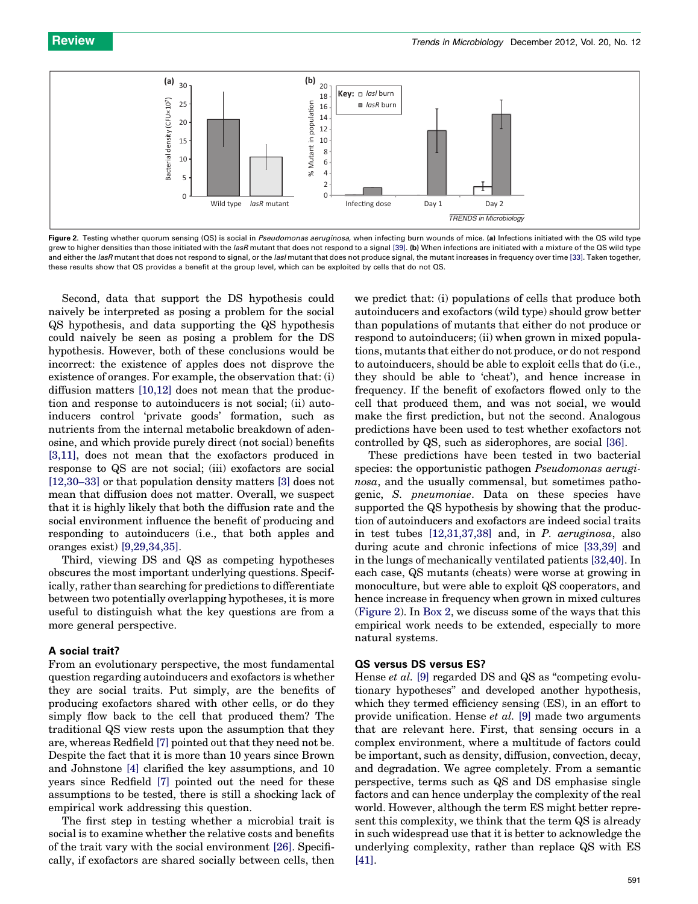

Figure 2. Testing whether quorum sensing (QS) is social in Pseudomonas aeruginosa, when infecting burn wounds of mice. (a) Infections initiated with the QS wild type grew to higher densities than those initiated with the *lasR* mutant that does not respond to a signal [\[39\]](#page-8-0). (b) When infections are initiated with a mixture of the QS wild type and either the lasR mutant that does not respond to signal, or the lasl mutant that does not produce signal, the mutant increases in frequency over time [\[33\].](#page-7-0) Taken together, these results show that QS provides a benefit at the group level, which can be exploited by cells that do not QS.

Second, data that support the DS hypothesis could naively be interpreted as posing a problem for the social QS hypothesis, and data supporting the QS hypothesis could naively be seen as posing a problem for the DS hypothesis. However, both of these conclusions would be incorrect: the existence of apples does not disprove the existence of oranges. For example, the observation that: (i) diffusion matters [\[10,12\]](#page-7-0) does not mean that the production and response to autoinducers is not social; (ii) autoinducers control 'private goods' formation, such as nutrients from the internal metabolic breakdown of adenosine, and which provide purely direct (not social) benefits [\[3,11\],](#page-7-0) does not mean that the exofactors produced in response to QS are not social; (iii) exofactors are social [\[12,30–33\]](#page-7-0) or that population density matters [\[3\]](#page-7-0) does not mean that diffusion does not matter. Overall, we suspect that it is highly likely that both the diffusion rate and the social environment influence the benefit of producing and responding to autoinducers (i.e., that both apples and oranges exist) [\[9,29,34,35\].](#page-7-0)

Third, viewing DS and QS as competing hypotheses obscures the most important underlying questions. Specifically, rather than searching for predictions to differentiate between two potentially overlapping hypotheses, it is more useful to distinguish what the key questions are from a more general perspective.

#### A social trait?

From an evolutionary perspective, the most fundamental question regarding autoinducers and exofactors is whether they are social traits. Put simply, are the benefits of producing exofactors shared with other cells, or do they simply flow back to the cell that produced them? The traditional QS view rests upon the assumption that they are, whereas Redfield [\[7\]](#page-7-0) pointed out that they need not be. Despite the fact that it is more than 10 years since Brown and Johnstone [\[4\]](#page-7-0) clarified the key assumptions, and 10 years since Redfield [\[7\]](#page-7-0) pointed out the need for these assumptions to be tested, there is still a shocking lack of empirical work addressing this question.

The first step in testing whether a microbial trait is social is to examine whether the relative costs and benefits of the trait vary with the social environment [\[26\]](#page-7-0). Specifically, if exofactors are shared socially between cells, then

we predict that: (i) populations of cells that produce both autoinducers and exofactors (wild type) should grow better than populations of mutants that either do not produce or respond to autoinducers; (ii) when grown in mixed populations, mutants that either do not produce, or do not respond to autoinducers, should be able to exploit cells that do (i.e., they should be able to 'cheat'), and hence increase in frequency. If the benefit of exofactors flowed only to the cell that produced them, and was not social, we would make the first prediction, but not the second. Analogous predictions have been used to test whether exofactors not controlled by QS, such as siderophores, are social [\[36\]](#page-8-0).

These predictions have been tested in two bacterial species: the opportunistic pathogen *Pseudomonas aerugi*nosa, and the usually commensal, but sometimes pathogenic, S. pneumoniae. Data on these species have supported the QS hypothesis by showing that the production of autoinducers and exofactors are indeed social traits in test tubes [\[12,31,37,38\]](#page-7-0) and, in P. aeruginosa, also during acute and chronic infections of mice [\[33,39\]](#page-7-0) and in the lungs of mechanically ventilated patients [\[32,40\]](#page-7-0). In each case, QS mutants (cheats) were worse at growing in monoculture, but were able to exploit QS cooperators, and hence increase in frequency when grown in mixed cultures (Figure 2). In [Box](#page-6-0) 2, we discuss some of the ways that this empirical work needs to be extended, especially to more natural systems.

# QS versus DS versus ES?

Hense *et al.* [\[9\]](#page-7-0) regarded DS and QS as "competing evolutionary hypotheses'' and developed another hypothesis, which they termed efficiency sensing (ES), in an effort to provide unification. Hense et al. [\[9\]](#page-7-0) made two arguments that are relevant here. First, that sensing occurs in a complex environment, where a multitude of factors could be important, such as density, diffusion, convection, decay, and degradation. We agree completely. From a semantic perspective, terms such as QS and DS emphasise single factors and can hence underplay the complexity of the real world. However, although the term ES might better represent this complexity, we think that the term QS is already in such widespread use that it is better to acknowledge the underlying complexity, rather than replace QS with ES [\[41\]](#page-8-0).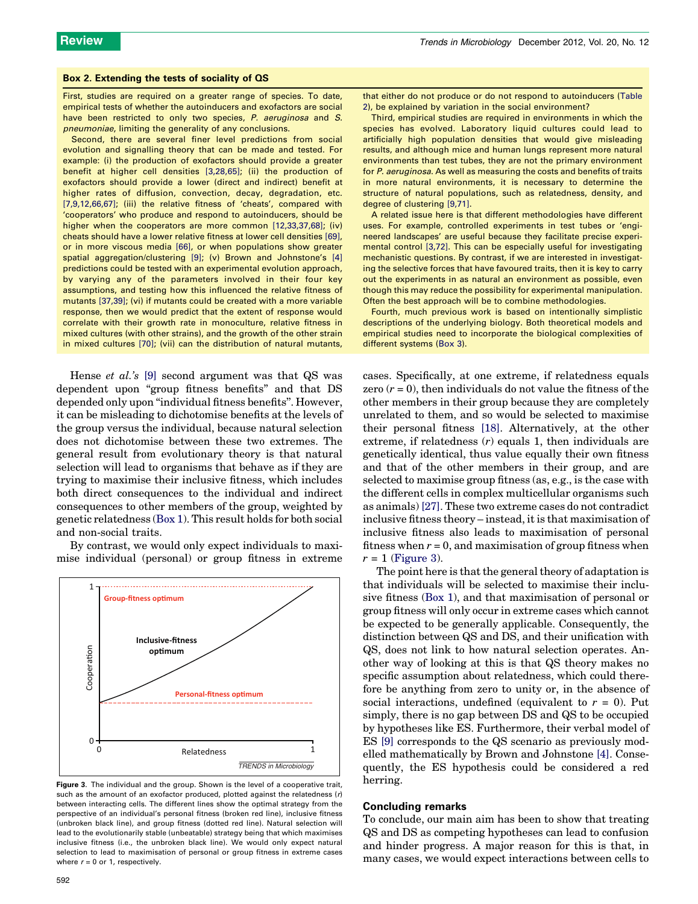# <span id="page-6-0"></span>Box 2. Extending the tests of sociality of QS

First, studies are required on a greater range of species. To date, empirical tests of whether the autoinducers and exofactors are social have been restricted to only two species, P. aeruginosa and S. pneumoniae, limiting the generality of any conclusions.

Second, there are several finer level predictions from social evolution and signalling theory that can be made and tested. For example: (i) the production of exofactors should provide a greater benefit at higher cell densities [\[3,28,65\];](#page-7-0) (ii) the production of exofactors should provide a lower (direct and indirect) benefit at higher rates of diffusion, convection, decay, degradation, etc. [\[7,9,12,66,67\];](#page-7-0) (iii) the relative fitness of 'cheats', compared with 'cooperators' who produce and respond to autoinducers, should be higher when the cooperators are more common [\[12,33,37,68\];](#page-7-0) (iv) cheats should have a lower relative fitness at lower cell densities [\[69\],](#page-8-0) or in more viscous media [\[66\],](#page-8-0) or when populations show greater spatial aggregation/clustering [\[9\];](#page-7-0) (v) Brown and Johnstone's [\[4\]](#page-7-0) predictions could be tested with an experimental evolution approach, by varying any of the parameters involved in their four key assumptions, and testing how this influenced the relative fitness of mutants [\[37,39\]](#page-8-0); (vi) if mutants could be created with a more variable response, then we would predict that the extent of response would correlate with their growth rate in monoculture, relative fitness in mixed cultures (with other strains), and the growth of the other strain in mixed cultures [\[70\]](#page-8-0); (vii) can the distribution of natural mutants,

Hense et al.'s [\[9\]](#page-7-0) second argument was that QS was dependent upon ''group fitness benefits'' and that DS depended only upon ''individual fitness benefits''. However, it can be misleading to dichotomise benefits at the levels of the group versus the individual, because natural selection does not dichotomise between these two extremes. The general result from evolutionary theory is that natural selection will lead to organisms that behave as if they are trying to maximise their inclusive fitness, which includes both direct consequences to the individual and indirect consequences to other members of the group, weighted by genetic relatedness [\(Box](#page-2-0) 1). This result holds for both social and non-social traits.

By contrast, we would only expect individuals to maximise individual (personal) or group fitness in extreme



Figure 3. The individual and the group. Shown is the level of a cooperative trait, such as the amount of an exofactor produced, plotted against the relatedness (r) between interacting cells. The different lines show the optimal strategy from the perspective of an individual's personal fitness (broken red line), inclusive fitness (unbroken black line), and group fitness (dotted red line). Natural selection will lead to the evolutionarily stable (unbeatable) strategy being that which maximises inclusive fitness (i.e., the unbroken black line). We would only expect natural selection to lead to maximisation of personal or group fitness in extreme cases where  $r = 0$  or 1, respectively.

that either do not produce or do not respond to autoinducers [\(Table](#page-4-0) [2\)](#page-4-0), be explained by variation in the social environment?

Third, empirical studies are required in environments in which the species has evolved. Laboratory liquid cultures could lead to artificially high population densities that would give misleading results, and although mice and human lungs represent more natural environments than test tubes, they are not the primary environment for P. aeruginosa. As well as measuring the costs and benefits of traits in more natural environments, it is necessary to determine the structure of natural populations, such as relatedness, density, and degree of clustering [\[9,71\]](#page-7-0).

A related issue here is that different methodologies have different uses. For example, controlled experiments in test tubes or 'engineered landscapes' are useful because they facilitate precise experimental control [\[3,72\]](#page-7-0). This can be especially useful for investigating mechanistic questions. By contrast, if we are interested in investigating the selective forces that have favoured traits, then it is key to carry out the experiments in as natural an environment as possible, even though this may reduce the possibility for experimental manipulation. Often the best approach will be to combine methodologies.

Fourth, much previous work is based on intentionally simplistic descriptions of the underlying biology. Both theoretical models and empirical studies need to incorporate the biological complexities of different systems [\(Box](#page-7-0) 3).

cases. Specifically, at one extreme, if relatedness equals zero  $(r = 0)$ , then individuals do not value the fitness of the other members in their group because they are completely unrelated to them, and so would be selected to maximise their personal fitness [\[18\].](#page-7-0) Alternatively, at the other extreme, if relatedness  $(r)$  equals 1, then individuals are genetically identical, thus value equally their own fitness and that of the other members in their group, and are selected to maximise group fitness (as, e.g., is the case with the different cells in complex multicellular organisms such as animals) [\[27\]](#page-7-0). These two extreme cases do not contradict inclusive fitness theory – instead, it is that maximisation of inclusive fitness also leads to maximisation of personal fitness when  $r = 0$ , and maximisation of group fitness when  $r = 1$  (Figure 3).

The point here is that the general theory of adaptation is that individuals will be selected to maximise their inclusive fitness [\(Box](#page-2-0) 1), and that maximisation of personal or group fitness will only occur in extreme cases which cannot be expected to be generally applicable. Consequently, the distinction between QS and DS, and their unification with QS, does not link to how natural selection operates. Another way of looking at this is that QS theory makes no specific assumption about relatedness, which could therefore be anything from zero to unity or, in the absence of social interactions, undefined (equivalent to  $r = 0$ ). Put simply, there is no gap between DS and QS to be occupied by hypotheses like ES. Furthermore, their verbal model of ES [\[9\]](#page-7-0) corresponds to the QS scenario as previously modelled mathematically by Brown and Johnstone [\[4\]](#page-7-0). Consequently, the ES hypothesis could be considered a red herring.

#### Concluding remarks

To conclude, our main aim has been to show that treating QS and DS as competing hypotheses can lead to confusion and hinder progress. A major reason for this is that, in many cases, we would expect interactions between cells to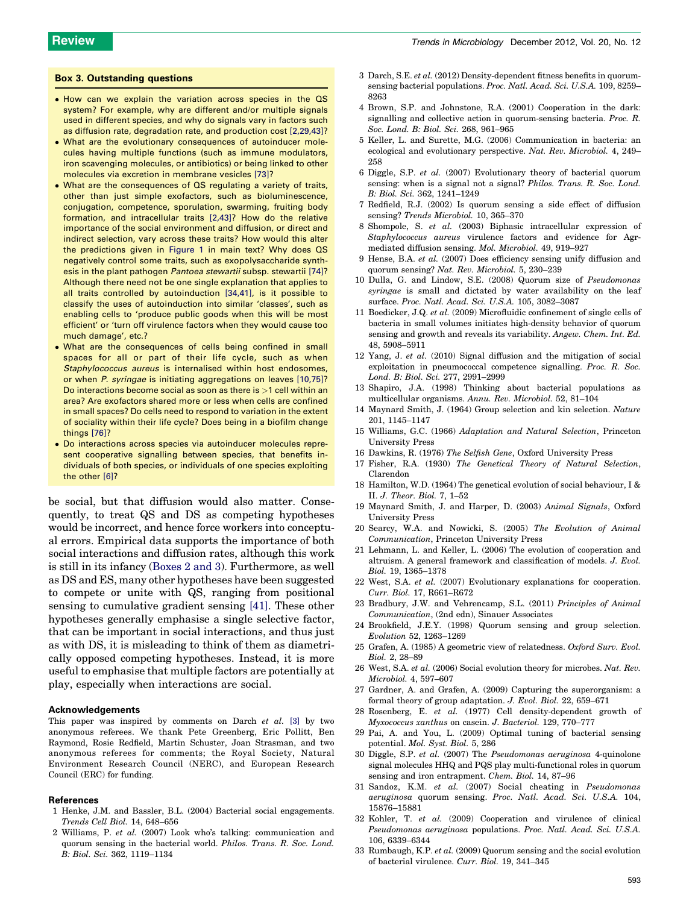# <span id="page-7-0"></span>Box 3. Outstanding questions

- How can we explain the variation across species in the QS system? For example, why are different and/or multiple signals used in different species, and why do signals vary in factors such as diffusion rate, degradation rate, and production cost [2,29,43]?
- What are the evolutionary consequences of autoinducer molecules having multiple functions (such as immune modulators, iron scavenging molecules, or antibiotics) or being linked to other molecules via excretion in membrane vesicles [\[73\]](#page-8-0)?
- What are the consequences of QS regulating a variety of traits, other than just simple exofactors, such as bioluminescence, conjugation, competence, sporulation, swarming, fruiting body formation, and intracellular traits [2,43]? How do the relative importance of the social environment and diffusion, or direct and indirect selection, vary across these traits? How would this alter the predictions given in [Figure](#page-3-0) 1 in main text? Why does QS negatively control some traits, such as exopolysaccharide synthesis in the plant pathogen *Pantoea stewartii* subsp. stewartii [\[74\]](#page-8-0)? Although there need not be one single explanation that applies to all traits controlled by autoinduction [\[34,41\]](#page-8-0), is it possible to classify the uses of autoinduction into similar 'classes', such as enabling cells to 'produce public goods when this will be most efficient' or 'turn off virulence factors when they would cause too much damage', etc.?
- What are the consequences of cells being confined in small spaces for all or part of their life cycle, such as when Staphylococcus aureus is internalised within host endosomes. or when P. syringae is initiating aggregations on leaves [10,75]? Do interactions become social as soon as there is  $>1$  cell within an area? Are exofactors shared more or less when cells are confined in small spaces? Do cells need to respond to variation in the extent of sociality within their life cycle? Does being in a biofilm change things [\[76\]?](#page-8-0)
- Do interactions across species via autoinducer molecules represent cooperative signalling between species, that benefits individuals of both species, or individuals of one species exploiting the other [6]?

be social, but that diffusion would also matter. Consequently, to treat QS and DS as competing hypotheses would be incorrect, and hence force workers into conceptual errors. Empirical data supports the importance of both social interactions and diffusion rates, although this work is still in its infancy ([Boxes](#page-6-0) 2 and 3). Furthermore, as well as DS and ES, many other hypotheses have been suggested to compete or unite with QS, ranging from positional sensing to cumulative gradient sensing [\[41\]](#page-8-0). These other hypotheses generally emphasise a single selective factor, that can be important in social interactions, and thus just as with DS, it is misleading to think of them as diametrically opposed competing hypotheses. Instead, it is more useful to emphasise that multiple factors are potentially at play, especially when interactions are social.

#### Acknowledgements

This paper was inspired by comments on Darch et al. [3] by two anonymous referees. We thank Pete Greenberg, Eric Pollitt, Ben Raymond, Rosie Redfield, Martin Schuster, Joan Strasman, and two anonymous referees for comments; the Royal Society, Natural Environment Research Council (NERC), and European Research Council (ERC) for funding.

#### References

- 1 Henke, J.M. and Bassler, B.L. (2004) Bacterial social engagements. Trends Cell Biol. 14, 648–656
- 2 Williams, P. et al. (2007) Look who's talking: communication and quorum sensing in the bacterial world. Philos. Trans. R. Soc. Lond. B: Biol. Sci. 362, 1119–1134
- 3 Darch, S.E. et al. (2012) Density-dependent fitness benefits in quorumsensing bacterial populations. Proc. Natl. Acad. Sci. U.S.A. 109, 8259– 8263
- 4 Brown, S.P. and Johnstone, R.A. (2001) Cooperation in the dark: signalling and collective action in quorum-sensing bacteria. *Proc. R.* Soc. Lond. B: Biol. Sci. 268, 961–965
- 5 Keller, L. and Surette, M.G. (2006) Communication in bacteria: an ecological and evolutionary perspective. Nat. Rev. Microbiol. 4, 249– 258
- 6 Diggle, S.P. et al. (2007) Evolutionary theory of bacterial quorum sensing: when is a signal not a signal? Philos. Trans. R. Soc. Lond. B: Biol. Sci. 362, 1241–1249
- 7 Redfield, R.J. (2002) Is quorum sensing a side effect of diffusion sensing? Trends Microbiol. 10, 365–370
- 8 Shompole, S. et al. (2003) Biphasic intracellular expression of Staphylococcus aureus virulence factors and evidence for Agrmediated diffusion sensing. Mol. Microbiol. 49, 919–927
- 9 Hense, B.A. et al. (2007) Does efficiency sensing unify diffusion and quorum sensing? Nat. Rev. Microbiol. 5, 230–239
- 10 Dulla, G. and Lindow, S.E. (2008) Quorum size of Pseudomonas syringae is small and dictated by water availability on the leaf surface. Proc. Natl. Acad. Sci. U.S.A. 105, 3082–3087
- 11 Boedicker, J.Q. et al. (2009) Microfluidic confinement of single cells of bacteria in small volumes initiates high-density behavior of quorum sensing and growth and reveals its variability. Angew. Chem. Int. Ed. 48, 5908–5911
- 12 Yang, J. et al. (2010) Signal diffusion and the mitigation of social exploitation in pneumococcal competence signalling. Proc. R. Soc. Lond. B: Biol. Sci. 277, 2991–2999
- 13 Shapiro, J.A. (1998) Thinking about bacterial populations as multicellular organisms. Annu. Rev. Microbiol. 52, 81–104
- 14 Maynard Smith, J. (1964) Group selection and kin selection. Nature 201, 1145–1147
- 15 Williams, G.C. (1966) Adaptation and Natural Selection, Princeton University Press
- 16 Dawkins, R. (1976) The Selfish Gene, Oxford University Press
- 17 Fisher, R.A. (1930) The Genetical Theory of Natural Selection, Clarendon
- 18 Hamilton, W.D. (1964) The genetical evolution of social behaviour, I & II. J. Theor. Biol. 7, 1–52
- 19 Maynard Smith, J. and Harper, D. (2003) Animal Signals, Oxford University Press
- 20 Searcy, W.A. and Nowicki, S. (2005) The Evolution of Animal Communication, Princeton University Press
- 21 Lehmann, L. and Keller, L. (2006) The evolution of cooperation and altruism. A general framework and classification of models. J. Evol. Biol. 19, 1365–1378
- 22 West, S.A. et al. (2007) Evolutionary explanations for cooperation. Curr. Biol. 17, R661–R672
- 23 Bradbury, J.W. and Vehrencamp, S.L. (2011) Principles of Animal Communication, (2nd edn), Sinauer Associates
- 24 Brookfield, J.E.Y. (1998) Quorum sensing and group selection. Evolution 52, 1263–1269
- 25 Grafen, A. (1985) A geometric view of relatedness. Oxford Surv. Evol. Biol. 2, 28–89
- 26 West, S.A. et al. (2006) Social evolution theory for microbes. Nat. Rev. Microbiol. 4, 597–607
- 27 Gardner, A. and Grafen, A. (2009) Capturing the superorganism: a formal theory of group adaptation. J. Evol. Biol. 22, 659–671
- 28 Rosenberg, E. et al. (1977) Cell density-dependent growth of Myxococcus xanthus on casein. J. Bacteriol. 129, 770–777
- 29 Pai, A. and You, L. (2009) Optimal tuning of bacterial sensing potential. Mol. Syst. Biol. 5, 286
- 30 Diggle, S.P. et al. (2007) The Pseudomonas aeruginosa 4-quinolone signal molecules HHQ and PQS play multi-functional roles in quorum sensing and iron entrapment. Chem. Biol. 14, 87–96
- 31 Sandoz, K.M. et al. (2007) Social cheating in Pseudomonas aeruginosa quorum sensing. Proc. Natl. Acad. Sci. U.S.A. 104, 15876–15881
- 32 Kohler, T. et al. (2009) Cooperation and virulence of clinical Pseudomonas aeruginosa populations. Proc. Natl. Acad. Sci. U.S.A. 106, 6339–6344
- 33 Rumbaugh, K.P. et al. (2009) Quorum sensing and the social evolution of bacterial virulence. Curr. Biol. 19, 341–345